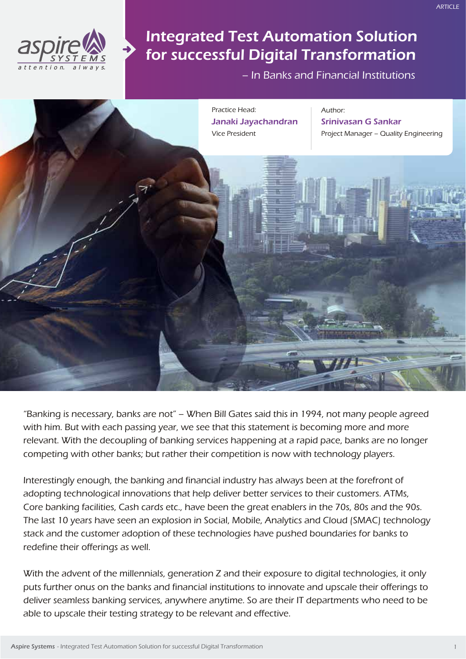

# Integrated Test Automation Solution for successful Digital Transformation

– In Banks and Financial Institutions



"Banking is necessary, banks are not" – When Bill Gates said this in 1994, not many people agreed with him. But with each passing year, we see that this statement is becoming more and more relevant. With the decoupling of banking services happening at a rapid pace, banks are no longer competing with other banks; but rather their competition is now with technology players.

Interestingly enough, the banking and financial industry has always been at the forefront of adopting technological innovations that help deliver better services to their customers. ATMs, Core banking facilities, Cash cards etc., have been the great enablers in the 70s, 80s and the 90s. The last 10 years have seen an explosion in Social, Mobile, Analytics and Cloud (SMAC) technology stack and the customer adoption of these technologies have pushed boundaries for banks to redefine their offerings as well.

With the advent of the millennials, generation Z and their exposure to digital technologies, it only puts further onus on the banks and financial institutions to innovate and upscale their offerings to deliver seamless banking services, anywhere anytime. So are their IT departments who need to be able to upscale their testing strategy to be relevant and effective.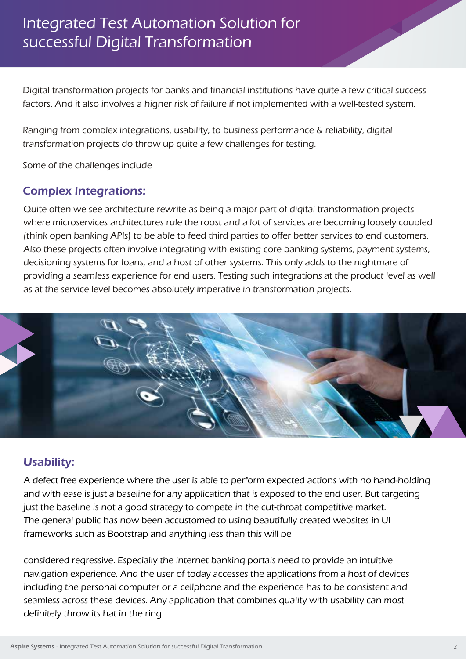# Integrated Test Automation Solution for successful Digital Transformation

Digital transformation projects for banks and financial institutions have quite a few critical success factors. And it also involves a higher risk of failure if not implemented with a well-tested system.

Ranging from complex integrations, usability, to business performance & reliability, digital transformation projects do throw up quite a few challenges for testing.

Some of the challenges include

#### Complex Integrations:

Quite often we see architecture rewrite as being a major part of digital transformation projects where microservices architectures rule the roost and a lot of services are becoming loosely coupled (think open banking APIs) to be able to feed third parties to offer better services to end customers. Also these projects often involve integrating with existing core banking systems, payment systems, decisioning systems for loans, and a host of other systems. This only adds to the nightmare of providing a seamless experience for end users. Testing such integrations at the product level as well as at the service level becomes absolutely imperative in transformation projects.



#### Usability:

A defect free experience where the user is able to perform expected actions with no hand-holding and with ease is just a baseline for any application that is exposed to the end user. But targeting just the baseline is not a good strategy to compete in the cut-throat competitive market. The general public has now been accustomed to using beautifully created websites in UI frameworks such as Bootstrap and anything less than this will be

considered regressive. Especially the internet banking portals need to provide an intuitive navigation experience. And the user of today accesses the applications from a host of devices including the personal computer or a cellphone and the experience has to be consistent and seamless across these devices. Any application that combines quality with usability can most definitely throw its hat in the ring.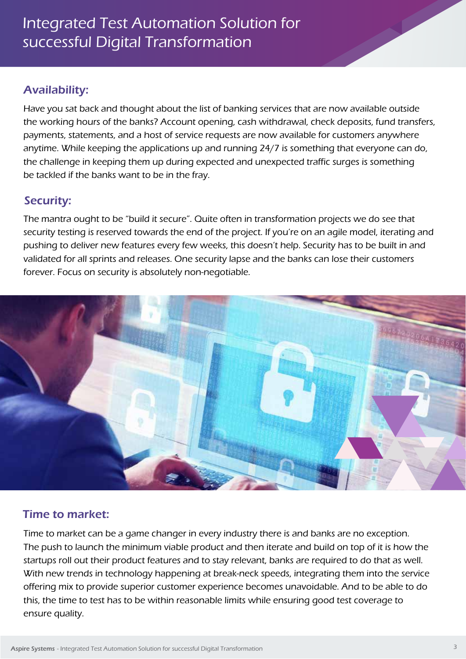## Availability:

Have you sat back and thought about the list of banking services that are now available outside the working hours of the banks? Account opening, cash withdrawal, check deposits, fund transfers, payments, statements, and a host of service requests are now available for customers anywhere anytime. While keeping the applications up and running 24/7 is something that everyone can do, the challenge in keeping them up during expected and unexpected traffic surges is something be tackled if the banks want to be in the fray.

#### Security:

The mantra ought to be "build it secure". Quite often in transformation projects we do see that security testing is reserved towards the end of the project. If you're on an agile model, iterating and pushing to deliver new features every few weeks, this doesn't help. Security has to be built in and validated for all sprints and releases. One security lapse and the banks can lose their customers forever. Focus on security is absolutely non-negotiable.



#### Time to market:

Time to market can be a game changer in every industry there is and banks are no exception. The push to launch the minimum viable product and then iterate and build on top of it is how the startups roll out their product features and to stay relevant, banks are required to do that as well. With new trends in technology happening at break-neck speeds, integrating them into the service offering mix to provide superior customer experience becomes unavoidable. And to be able to do this, the time to test has to be within reasonable limits while ensuring good test coverage to ensure quality.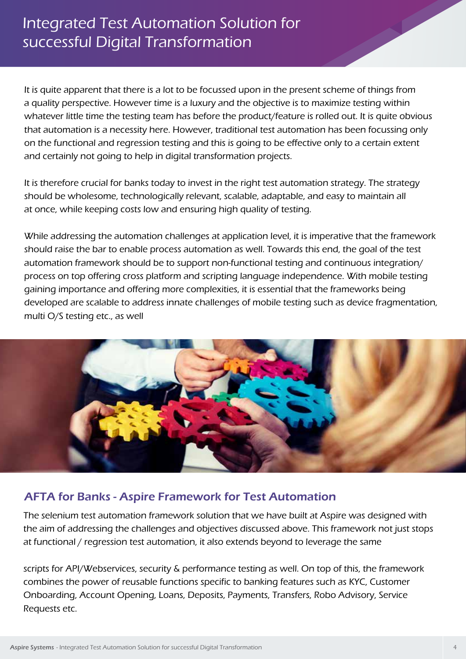# Integrated Test Automation Solution for successful Digital Transformation

It is quite apparent that there is a lot to be focussed upon in the present scheme of things from a quality perspective. However time is a luxury and the objective is to maximize testing within whatever little time the testing team has before the product/feature is rolled out. It is quite obvious that automation is a necessity here. However, traditional test automation has been focussing only on the functional and regression testing and this is going to be effective only to a certain extent and certainly not going to help in digital transformation projects.

It is therefore crucial for banks today to invest in the right test automation strategy. The strategy should be wholesome, technologically relevant, scalable, adaptable, and easy to maintain all at once, while keeping costs low and ensuring high quality of testing.

While addressing the automation challenges at application level, it is imperative that the framework should raise the bar to enable process automation as well. Towards this end, the goal of the test automation framework should be to support non-functional testing and continuous integration/ process on top offering cross platform and scripting language independence. With mobile testing gaining importance and offering more complexities, it is essential that the frameworks being developed are scalable to address innate challenges of mobile testing such as device fragmentation, multi O/S testing etc., as well



#### AFTA for Banks - Aspire Framework for Test Automation

The selenium test automation framework solution that we have built at Aspire was designed with the aim of addressing the challenges and objectives discussed above. This framework not just stops at functional / regression test automation, it also extends beyond to leverage the same

scripts for API/Webservices, security & performance testing as well. On top of this, the framework combines the power of reusable functions specific to banking features such as KYC, Customer Onboarding, Account Opening, Loans, Deposits, Payments, Transfers, Robo Advisory, Service Requests etc.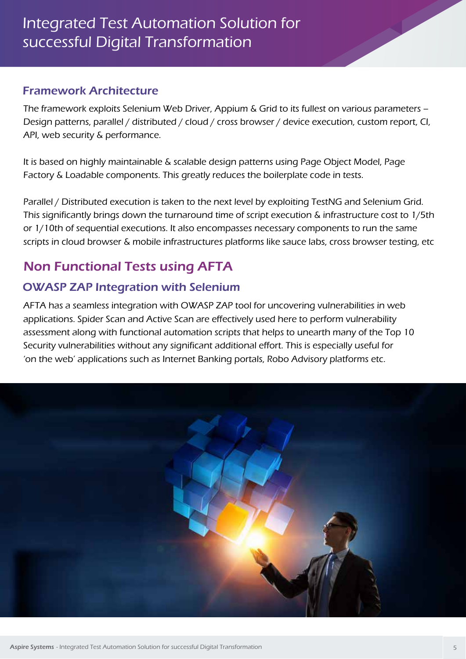#### Framework Architecture

The framework exploits Selenium Web Driver, Appium & Grid to its fullest on various parameters – Design patterns, parallel / distributed / cloud / cross browser / device execution, custom report, CI, API, web security & performance.

It is based on highly maintainable & scalable design patterns using Page Object Model, Page Factory & Loadable components. This greatly reduces the boilerplate code in tests.

Parallel / Distributed execution is taken to the next level by exploiting TestNG and Selenium Grid. This significantly brings down the turnaround time of script execution & infrastructure cost to 1/5th or 1/10th of sequential executions. It also encompasses necessary components to run the same scripts in cloud browser & mobile infrastructures platforms like sauce labs, cross browser testing, etc

# Non Functional Tests using AFTA

## OWASP ZAP Integration with Selenium

AFTA has a seamless integration with OWASP ZAP tool for uncovering vulnerabilities in web applications. Spider Scan and Active Scan are effectively used here to perform vulnerability assessment along with functional automation scripts that helps to unearth many of the Top 10 Security vulnerabilities without any significant additional effort. This is especially useful for 'on the web' applications such as Internet Banking portals, Robo Advisory platforms etc.

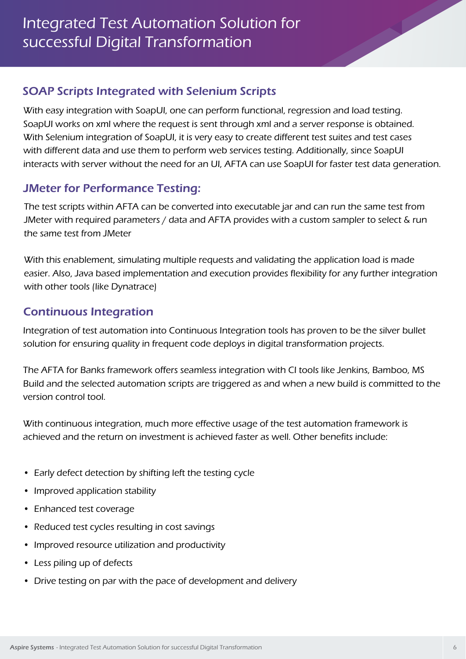## SOAP Scripts Integrated with Selenium Scripts

With easy integration with SoapUI, one can perform functional, regression and load testing. SoapUI works on xml where the request is sent through xml and a server response is obtained. With Selenium integration of SoapUI, it is very easy to create different test suites and test cases with different data and use them to perform web services testing. Additionally, since SoapUI interacts with server without the need for an UI, AFTA can use SoapUI for faster test data generation.

## JMeter for Performance Testing:

The test scripts within AFTA can be converted into executable jar and can run the same test from JMeter with required parameters / data and AFTA provides with a custom sampler to select & run the same test from JMeter

With this enablement, simulating multiple requests and validating the application load is made easier. Also, Java based implementation and execution provides flexibility for any further integration with other tools (like Dynatrace)

## Continuous Integration

Integration of test automation into Continuous Integration tools has proven to be the silver bullet solution for ensuring quality in frequent code deploys in digital transformation projects.

The AFTA for Banks framework offers seamless integration with CI tools like Jenkins, Bamboo, MS Build and the selected automation scripts are triggered as and when a new build is committed to the version control tool.

With continuous integration, much more effective usage of the test automation framework is achieved and the return on investment is achieved faster as well. Other benefits include:

- Early defect detection by shifting left the testing cycle
- Improved application stability
- Enhanced test coverage
- Reduced test cycles resulting in cost savings
- Improved resource utilization and productivity
- Less piling up of defects
- Drive testing on par with the pace of development and delivery

ARTICLE